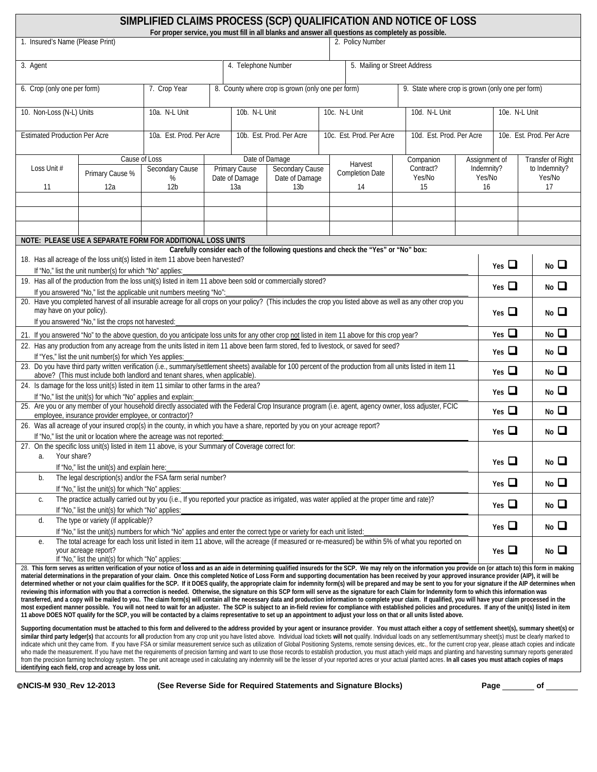|                                                                                                                                                                                                                                                                                          |                                                                                                                                                           |                          |  |                     |                                                                                                                                                               |  | SIMPLIFIED CLAIMS PROCESS (SCP) QUALIFICATION AND NOTICE OF LOSS                                                                                                                                                                                                                                                                                                                                                                                                                                                                                                                                                                                                                                                                                                                                                                                                                                                                                                                                                                                                                                                                                                                                                                                                                                                                                                                                                                                                               |                          |            |                                                  |                          |  |  |  |
|------------------------------------------------------------------------------------------------------------------------------------------------------------------------------------------------------------------------------------------------------------------------------------------|-----------------------------------------------------------------------------------------------------------------------------------------------------------|--------------------------|--|---------------------|---------------------------------------------------------------------------------------------------------------------------------------------------------------|--|--------------------------------------------------------------------------------------------------------------------------------------------------------------------------------------------------------------------------------------------------------------------------------------------------------------------------------------------------------------------------------------------------------------------------------------------------------------------------------------------------------------------------------------------------------------------------------------------------------------------------------------------------------------------------------------------------------------------------------------------------------------------------------------------------------------------------------------------------------------------------------------------------------------------------------------------------------------------------------------------------------------------------------------------------------------------------------------------------------------------------------------------------------------------------------------------------------------------------------------------------------------------------------------------------------------------------------------------------------------------------------------------------------------------------------------------------------------------------------|--------------------------|------------|--------------------------------------------------|--------------------------|--|--|--|
| 1. Insured's Name (Please Print)                                                                                                                                                                                                                                                         |                                                                                                                                                           |                          |  |                     |                                                                                                                                                               |  | For proper service, you must fill in all blanks and answer all questions as completely as possible.<br>2. Policy Number                                                                                                                                                                                                                                                                                                                                                                                                                                                                                                                                                                                                                                                                                                                                                                                                                                                                                                                                                                                                                                                                                                                                                                                                                                                                                                                                                        |                          |            |                                                  |                          |  |  |  |
|                                                                                                                                                                                                                                                                                          |                                                                                                                                                           |                          |  |                     |                                                                                                                                                               |  |                                                                                                                                                                                                                                                                                                                                                                                                                                                                                                                                                                                                                                                                                                                                                                                                                                                                                                                                                                                                                                                                                                                                                                                                                                                                                                                                                                                                                                                                                |                          |            |                                                  |                          |  |  |  |
| 3. Agent                                                                                                                                                                                                                                                                                 |                                                                                                                                                           |                          |  | 4. Telephone Number |                                                                                                                                                               |  | 5. Mailing or Street Address                                                                                                                                                                                                                                                                                                                                                                                                                                                                                                                                                                                                                                                                                                                                                                                                                                                                                                                                                                                                                                                                                                                                                                                                                                                                                                                                                                                                                                                   |                          |            |                                                  |                          |  |  |  |
|                                                                                                                                                                                                                                                                                          |                                                                                                                                                           |                          |  |                     |                                                                                                                                                               |  |                                                                                                                                                                                                                                                                                                                                                                                                                                                                                                                                                                                                                                                                                                                                                                                                                                                                                                                                                                                                                                                                                                                                                                                                                                                                                                                                                                                                                                                                                |                          |            |                                                  |                          |  |  |  |
| 6. Crop (only one per form)                                                                                                                                                                                                                                                              |                                                                                                                                                           | 7. Crop Year             |  |                     | 8. County where crop is grown (only one per form)                                                                                                             |  |                                                                                                                                                                                                                                                                                                                                                                                                                                                                                                                                                                                                                                                                                                                                                                                                                                                                                                                                                                                                                                                                                                                                                                                                                                                                                                                                                                                                                                                                                |                          |            | 9. State where crop is grown (only one per form) |                          |  |  |  |
|                                                                                                                                                                                                                                                                                          |                                                                                                                                                           |                          |  |                     |                                                                                                                                                               |  |                                                                                                                                                                                                                                                                                                                                                                                                                                                                                                                                                                                                                                                                                                                                                                                                                                                                                                                                                                                                                                                                                                                                                                                                                                                                                                                                                                                                                                                                                |                          |            |                                                  |                          |  |  |  |
| 10. Non-Loss (N-L) Units                                                                                                                                                                                                                                                                 |                                                                                                                                                           | 10a. N-L Unit            |  | 10b. N-L Unit       |                                                                                                                                                               |  | 10c. N-L Unit                                                                                                                                                                                                                                                                                                                                                                                                                                                                                                                                                                                                                                                                                                                                                                                                                                                                                                                                                                                                                                                                                                                                                                                                                                                                                                                                                                                                                                                                  | 10d. N-L Unit            |            | 10e. N-L Unit                                    |                          |  |  |  |
|                                                                                                                                                                                                                                                                                          |                                                                                                                                                           |                          |  |                     |                                                                                                                                                               |  |                                                                                                                                                                                                                                                                                                                                                                                                                                                                                                                                                                                                                                                                                                                                                                                                                                                                                                                                                                                                                                                                                                                                                                                                                                                                                                                                                                                                                                                                                |                          |            |                                                  |                          |  |  |  |
| <b>Estimated Production Per Acre</b>                                                                                                                                                                                                                                                     |                                                                                                                                                           | 10a. Est. Prod. Per Acre |  |                     | 10b. Est. Prod. Per Acre                                                                                                                                      |  | 10c. Est. Prod. Per Acre                                                                                                                                                                                                                                                                                                                                                                                                                                                                                                                                                                                                                                                                                                                                                                                                                                                                                                                                                                                                                                                                                                                                                                                                                                                                                                                                                                                                                                                       | 10d. Est. Prod. Per Acre |            |                                                  | 10e. Est. Prod. Per Acre |  |  |  |
|                                                                                                                                                                                                                                                                                          |                                                                                                                                                           |                          |  |                     |                                                                                                                                                               |  |                                                                                                                                                                                                                                                                                                                                                                                                                                                                                                                                                                                                                                                                                                                                                                                                                                                                                                                                                                                                                                                                                                                                                                                                                                                                                                                                                                                                                                                                                |                          |            |                                                  |                          |  |  |  |
|                                                                                                                                                                                                                                                                                          | Cause of Loss                                                                                                                                             |                          |  |                     | Date of Damage                                                                                                                                                |  | Harvest                                                                                                                                                                                                                                                                                                                                                                                                                                                                                                                                                                                                                                                                                                                                                                                                                                                                                                                                                                                                                                                                                                                                                                                                                                                                                                                                                                                                                                                                        | Companion                |            | Assignment of                                    | Transfer of Right        |  |  |  |
| Loss Unit #                                                                                                                                                                                                                                                                              | Primary Cause %                                                                                                                                           | <b>Secondary Cause</b>   |  | Primary Cause       | <b>Secondary Cause</b>                                                                                                                                        |  | <b>Completion Date</b>                                                                                                                                                                                                                                                                                                                                                                                                                                                                                                                                                                                                                                                                                                                                                                                                                                                                                                                                                                                                                                                                                                                                                                                                                                                                                                                                                                                                                                                         | Contract?                | Indemnity? |                                                  | to Indemnity?            |  |  |  |
|                                                                                                                                                                                                                                                                                          |                                                                                                                                                           | %                        |  | Date of Damage      | Date of Damage                                                                                                                                                |  |                                                                                                                                                                                                                                                                                                                                                                                                                                                                                                                                                                                                                                                                                                                                                                                                                                                                                                                                                                                                                                                                                                                                                                                                                                                                                                                                                                                                                                                                                | Yes/No                   |            | Yes/No<br>Yes/No<br>17                           |                          |  |  |  |
| 11                                                                                                                                                                                                                                                                                       | 12a                                                                                                                                                       | 12 <sub>b</sub>          |  | 13a                 | 13b                                                                                                                                                           |  | 14                                                                                                                                                                                                                                                                                                                                                                                                                                                                                                                                                                                                                                                                                                                                                                                                                                                                                                                                                                                                                                                                                                                                                                                                                                                                                                                                                                                                                                                                             | 15                       |            | 16                                               |                          |  |  |  |
|                                                                                                                                                                                                                                                                                          |                                                                                                                                                           |                          |  |                     |                                                                                                                                                               |  |                                                                                                                                                                                                                                                                                                                                                                                                                                                                                                                                                                                                                                                                                                                                                                                                                                                                                                                                                                                                                                                                                                                                                                                                                                                                                                                                                                                                                                                                                |                          |            |                                                  |                          |  |  |  |
|                                                                                                                                                                                                                                                                                          |                                                                                                                                                           |                          |  |                     |                                                                                                                                                               |  |                                                                                                                                                                                                                                                                                                                                                                                                                                                                                                                                                                                                                                                                                                                                                                                                                                                                                                                                                                                                                                                                                                                                                                                                                                                                                                                                                                                                                                                                                |                          |            |                                                  |                          |  |  |  |
|                                                                                                                                                                                                                                                                                          |                                                                                                                                                           |                          |  |                     |                                                                                                                                                               |  |                                                                                                                                                                                                                                                                                                                                                                                                                                                                                                                                                                                                                                                                                                                                                                                                                                                                                                                                                                                                                                                                                                                                                                                                                                                                                                                                                                                                                                                                                |                          |            |                                                  |                          |  |  |  |
|                                                                                                                                                                                                                                                                                          | NOTE: PLEASE USE A SEPARATE FORM FOR ADDITIONAL LOSS UNITS                                                                                                |                          |  |                     |                                                                                                                                                               |  |                                                                                                                                                                                                                                                                                                                                                                                                                                                                                                                                                                                                                                                                                                                                                                                                                                                                                                                                                                                                                                                                                                                                                                                                                                                                                                                                                                                                                                                                                |                          |            |                                                  |                          |  |  |  |
|                                                                                                                                                                                                                                                                                          |                                                                                                                                                           |                          |  |                     |                                                                                                                                                               |  | Carefully consider each of the following questions and check the "Yes" or "No" box:                                                                                                                                                                                                                                                                                                                                                                                                                                                                                                                                                                                                                                                                                                                                                                                                                                                                                                                                                                                                                                                                                                                                                                                                                                                                                                                                                                                            |                          |            |                                                  |                          |  |  |  |
|                                                                                                                                                                                                                                                                                          | 18. Has all acreage of the loss unit(s) listed in item 11 above been harvested?                                                                           |                          |  |                     |                                                                                                                                                               |  |                                                                                                                                                                                                                                                                                                                                                                                                                                                                                                                                                                                                                                                                                                                                                                                                                                                                                                                                                                                                                                                                                                                                                                                                                                                                                                                                                                                                                                                                                |                          |            | Yes $\Box$                                       | N <sub>0</sub>           |  |  |  |
|                                                                                                                                                                                                                                                                                          | If "No," list the unit number(s) for which "No" applies:                                                                                                  |                          |  |                     |                                                                                                                                                               |  |                                                                                                                                                                                                                                                                                                                                                                                                                                                                                                                                                                                                                                                                                                                                                                                                                                                                                                                                                                                                                                                                                                                                                                                                                                                                                                                                                                                                                                                                                |                          |            |                                                  |                          |  |  |  |
|                                                                                                                                                                                                                                                                                          | 19. Has all of the production from the loss unit(s) listed in item 11 above been sold or commercially stored?                                             |                          |  |                     |                                                                                                                                                               |  |                                                                                                                                                                                                                                                                                                                                                                                                                                                                                                                                                                                                                                                                                                                                                                                                                                                                                                                                                                                                                                                                                                                                                                                                                                                                                                                                                                                                                                                                                |                          |            | Yes $\Box$                                       | N <sub>0</sub>           |  |  |  |
|                                                                                                                                                                                                                                                                                          | If you answered "No," list the applicable unit numbers meeting "No":                                                                                      |                          |  |                     |                                                                                                                                                               |  |                                                                                                                                                                                                                                                                                                                                                                                                                                                                                                                                                                                                                                                                                                                                                                                                                                                                                                                                                                                                                                                                                                                                                                                                                                                                                                                                                                                                                                                                                |                          |            |                                                  |                          |  |  |  |
| 20. Have you completed harvest of all insurable acreage for all crops on your policy? (This includes the crop you listed above as well as any other crop you<br>may have on your policy).                                                                                                |                                                                                                                                                           |                          |  |                     |                                                                                                                                                               |  |                                                                                                                                                                                                                                                                                                                                                                                                                                                                                                                                                                                                                                                                                                                                                                                                                                                                                                                                                                                                                                                                                                                                                                                                                                                                                                                                                                                                                                                                                |                          |            | Yes $\Box$                                       | $No$ $\square$           |  |  |  |
| If you answered "No," list the crops not harvested:                                                                                                                                                                                                                                      |                                                                                                                                                           |                          |  |                     |                                                                                                                                                               |  |                                                                                                                                                                                                                                                                                                                                                                                                                                                                                                                                                                                                                                                                                                                                                                                                                                                                                                                                                                                                                                                                                                                                                                                                                                                                                                                                                                                                                                                                                |                          |            |                                                  |                          |  |  |  |
|                                                                                                                                                                                                                                                                                          |                                                                                                                                                           |                          |  |                     |                                                                                                                                                               |  |                                                                                                                                                                                                                                                                                                                                                                                                                                                                                                                                                                                                                                                                                                                                                                                                                                                                                                                                                                                                                                                                                                                                                                                                                                                                                                                                                                                                                                                                                |                          |            | Yes $\Box$                                       | No $\square$             |  |  |  |
| 21. If you answered "No" to the above question, do you anticipate loss units for any other crop not listed in item 11 above for this crop year?<br>22. Has any production from any acreage from the units listed in item 11 above been farm stored, fed to livestock, or saved for seed? |                                                                                                                                                           |                          |  |                     |                                                                                                                                                               |  |                                                                                                                                                                                                                                                                                                                                                                                                                                                                                                                                                                                                                                                                                                                                                                                                                                                                                                                                                                                                                                                                                                                                                                                                                                                                                                                                                                                                                                                                                |                          |            |                                                  |                          |  |  |  |
|                                                                                                                                                                                                                                                                                          | If "Yes," list the unit number(s) for which Yes applies:                                                                                                  |                          |  |                     |                                                                                                                                                               |  |                                                                                                                                                                                                                                                                                                                                                                                                                                                                                                                                                                                                                                                                                                                                                                                                                                                                                                                                                                                                                                                                                                                                                                                                                                                                                                                                                                                                                                                                                |                          |            | Yes $\Box$                                       | N <sub>0</sub>           |  |  |  |
|                                                                                                                                                                                                                                                                                          |                                                                                                                                                           |                          |  |                     |                                                                                                                                                               |  | 23. Do you have third party written verification (i.e., summary/settlement sheets) available for 100 percent of the production from all units listed in item 11                                                                                                                                                                                                                                                                                                                                                                                                                                                                                                                                                                                                                                                                                                                                                                                                                                                                                                                                                                                                                                                                                                                                                                                                                                                                                                                |                          |            | Yes $\Box$                                       | $No$ $\square$           |  |  |  |
|                                                                                                                                                                                                                                                                                          | above? (This must include both landlord and tenant shares, when applicable).                                                                              |                          |  |                     |                                                                                                                                                               |  |                                                                                                                                                                                                                                                                                                                                                                                                                                                                                                                                                                                                                                                                                                                                                                                                                                                                                                                                                                                                                                                                                                                                                                                                                                                                                                                                                                                                                                                                                |                          |            |                                                  |                          |  |  |  |
|                                                                                                                                                                                                                                                                                          | 24. Is damage for the loss unit(s) listed in item 11 similar to other farms in the area?<br>If "No," list the unit(s) for which "No" applies and explain: |                          |  |                     |                                                                                                                                                               |  |                                                                                                                                                                                                                                                                                                                                                                                                                                                                                                                                                                                                                                                                                                                                                                                                                                                                                                                                                                                                                                                                                                                                                                                                                                                                                                                                                                                                                                                                                |                          |            | Yes $\Box$                                       | N <sub>0</sub>           |  |  |  |
|                                                                                                                                                                                                                                                                                          |                                                                                                                                                           |                          |  |                     |                                                                                                                                                               |  | 25. Are you or any member of your household directly associated with the Federal Crop Insurance program (i.e. agent, agency owner, loss adjuster, FCIC                                                                                                                                                                                                                                                                                                                                                                                                                                                                                                                                                                                                                                                                                                                                                                                                                                                                                                                                                                                                                                                                                                                                                                                                                                                                                                                         |                          |            |                                                  |                          |  |  |  |
|                                                                                                                                                                                                                                                                                          | employee, insurance provider employee, or contractor)?                                                                                                    |                          |  |                     |                                                                                                                                                               |  |                                                                                                                                                                                                                                                                                                                                                                                                                                                                                                                                                                                                                                                                                                                                                                                                                                                                                                                                                                                                                                                                                                                                                                                                                                                                                                                                                                                                                                                                                |                          |            | Yes $\Box$                                       | $No$ $\square$           |  |  |  |
|                                                                                                                                                                                                                                                                                          |                                                                                                                                                           |                          |  |                     | 26. Was all acreage of your insured crop(s) in the county, in which you have a share, reported by you on your acreage report?<br>$No$ $\square$<br>Yes $\Box$ |  |                                                                                                                                                                                                                                                                                                                                                                                                                                                                                                                                                                                                                                                                                                                                                                                                                                                                                                                                                                                                                                                                                                                                                                                                                                                                                                                                                                                                                                                                                |                          |            |                                                  |                          |  |  |  |
|                                                                                                                                                                                                                                                                                          | If "No," list the unit or location where the acreage was not reported:                                                                                    |                          |  |                     |                                                                                                                                                               |  |                                                                                                                                                                                                                                                                                                                                                                                                                                                                                                                                                                                                                                                                                                                                                                                                                                                                                                                                                                                                                                                                                                                                                                                                                                                                                                                                                                                                                                                                                |                          |            |                                                  |                          |  |  |  |
|                                                                                                                                                                                                                                                                                          | 27. On the specific loss unit(s) listed in item 11 above, is your Summary of Coverage correct for:                                                        |                          |  |                     |                                                                                                                                                               |  |                                                                                                                                                                                                                                                                                                                                                                                                                                                                                                                                                                                                                                                                                                                                                                                                                                                                                                                                                                                                                                                                                                                                                                                                                                                                                                                                                                                                                                                                                |                          |            |                                                  |                          |  |  |  |
| Your share?<br>a.                                                                                                                                                                                                                                                                        | If "No," list the unit(s) and explain here:                                                                                                               |                          |  |                     |                                                                                                                                                               |  |                                                                                                                                                                                                                                                                                                                                                                                                                                                                                                                                                                                                                                                                                                                                                                                                                                                                                                                                                                                                                                                                                                                                                                                                                                                                                                                                                                                                                                                                                |                          |            | $Yes \Box$                                       | N <sub>0</sub>           |  |  |  |
| b.                                                                                                                                                                                                                                                                                       | The legal description(s) and/or the FSA farm serial number?                                                                                               |                          |  |                     |                                                                                                                                                               |  |                                                                                                                                                                                                                                                                                                                                                                                                                                                                                                                                                                                                                                                                                                                                                                                                                                                                                                                                                                                                                                                                                                                                                                                                                                                                                                                                                                                                                                                                                |                          |            |                                                  |                          |  |  |  |
|                                                                                                                                                                                                                                                                                          | If "No," list the unit(s) for which "No" applies:                                                                                                         |                          |  |                     |                                                                                                                                                               |  |                                                                                                                                                                                                                                                                                                                                                                                                                                                                                                                                                                                                                                                                                                                                                                                                                                                                                                                                                                                                                                                                                                                                                                                                                                                                                                                                                                                                                                                                                |                          |            | Yes $\Box$                                       | No $\square$             |  |  |  |
| C.                                                                                                                                                                                                                                                                                       |                                                                                                                                                           |                          |  |                     |                                                                                                                                                               |  | The practice actually carried out by you (i.e., If you reported your practice as irrigated, was water applied at the proper time and rate)?                                                                                                                                                                                                                                                                                                                                                                                                                                                                                                                                                                                                                                                                                                                                                                                                                                                                                                                                                                                                                                                                                                                                                                                                                                                                                                                                    |                          |            |                                                  |                          |  |  |  |
|                                                                                                                                                                                                                                                                                          | If "No," list the unit(s) for which "No" applies:                                                                                                         |                          |  |                     |                                                                                                                                                               |  |                                                                                                                                                                                                                                                                                                                                                                                                                                                                                                                                                                                                                                                                                                                                                                                                                                                                                                                                                                                                                                                                                                                                                                                                                                                                                                                                                                                                                                                                                |                          |            | Yes $\Box$                                       | N <sub>0</sub>           |  |  |  |
| d.                                                                                                                                                                                                                                                                                       | The type or variety (if applicable)?                                                                                                                      |                          |  |                     |                                                                                                                                                               |  |                                                                                                                                                                                                                                                                                                                                                                                                                                                                                                                                                                                                                                                                                                                                                                                                                                                                                                                                                                                                                                                                                                                                                                                                                                                                                                                                                                                                                                                                                |                          |            | Yes $\Box$                                       | N <sub>0</sub>           |  |  |  |
| If "No," list the unit(s) numbers for which "No" applies and enter the correct type or variety for each unit listed:                                                                                                                                                                     |                                                                                                                                                           |                          |  |                     |                                                                                                                                                               |  |                                                                                                                                                                                                                                                                                                                                                                                                                                                                                                                                                                                                                                                                                                                                                                                                                                                                                                                                                                                                                                                                                                                                                                                                                                                                                                                                                                                                                                                                                |                          |            |                                                  |                          |  |  |  |
| е.                                                                                                                                                                                                                                                                                       |                                                                                                                                                           |                          |  |                     |                                                                                                                                                               |  | The total acreage for each loss unit listed in item 11 above, will the acreage (if measured or re-measured) be within 5% of what you reported on                                                                                                                                                                                                                                                                                                                                                                                                                                                                                                                                                                                                                                                                                                                                                                                                                                                                                                                                                                                                                                                                                                                                                                                                                                                                                                                               |                          |            |                                                  |                          |  |  |  |
|                                                                                                                                                                                                                                                                                          | your acreage report?<br>If "No," list the unit(s) for which "No" applies:                                                                                 |                          |  |                     |                                                                                                                                                               |  |                                                                                                                                                                                                                                                                                                                                                                                                                                                                                                                                                                                                                                                                                                                                                                                                                                                                                                                                                                                                                                                                                                                                                                                                                                                                                                                                                                                                                                                                                |                          |            | Yes $\Box$                                       | No $\square$             |  |  |  |
|                                                                                                                                                                                                                                                                                          |                                                                                                                                                           |                          |  |                     |                                                                                                                                                               |  | 28. This form serves as written verification of your notice of loss and as an aide in determining qualified insureds for the SCP. We may rely on the information you provide on (or attach to) this form in making<br>material determinations in the preparation of your claim. Once this completed Notice of Loss Form and supporting documentation has been received by your approved insurance provider (AIP), it will be<br>determined whether or not your claim qualifies for the SCP. If it DOES qualify, the appropriate claim for indemnity form(s) will be prepared and may be sent to you for your signature if the AIP determines when<br>reviewing this information with you that a correction is needed. Otherwise, the signature on this SCP form will serve as the signature for each Claim for Indemnity form to which this information was<br>transferred, and a copy will be mailed to you. The claim form(s) will contain all the necessary data and production information to complete your claim. If qualified, you will have your claim processed in the<br>most expedient manner possible. You will not need to wait for an adjuster. The SCP is subject to an in-field review for compliance with established policies and procedures. If any of the unit(s) listed in item<br>11 above DOES NOT qualify for the SCP, you will be contacted by a claims representative to set up an appointment to adjust your loss on that or all units listed above. |                          |            |                                                  |                          |  |  |  |
|                                                                                                                                                                                                                                                                                          | identifying each field, crop and acreage by loss unit.                                                                                                    |                          |  |                     |                                                                                                                                                               |  | Supporting documentation must be attached to this form and delivered to the address provided by your agent or insurance provider. You must attach either a copy of settlement sheet(s), summary sheet(s) or<br>similar third party ledger(s) that accounts for all production from any crop unit you have listed above. Individual load tickets will not qualify. Individual loads on any settlement/summary sheet(s) must be clearly marked<br>indicate which unit they came from. If you have FSA or similar measurement service such as utilization of Global Positioning Systems, remote sensing devices, etc., for the current crop year, please attach copies and indica<br>who made the measurement. If you have met the requirements of precision farming and want to use those records to establish production, you must attach yield maps and planting and harvesting summary reports generated<br>from the precision farming technology system. The per unit acreage used in calculating any indemnity will be the lesser of your reported acres or your actual planted acres. In all cases you must attach copies of maps                                                                                                                                                                                                                                                                                                                                          |                          |            |                                                  |                          |  |  |  |

**NCIS-M 930\_Rev 12-2013 (See Reverse Side for Required Statements and Signature Blocks) Page of**